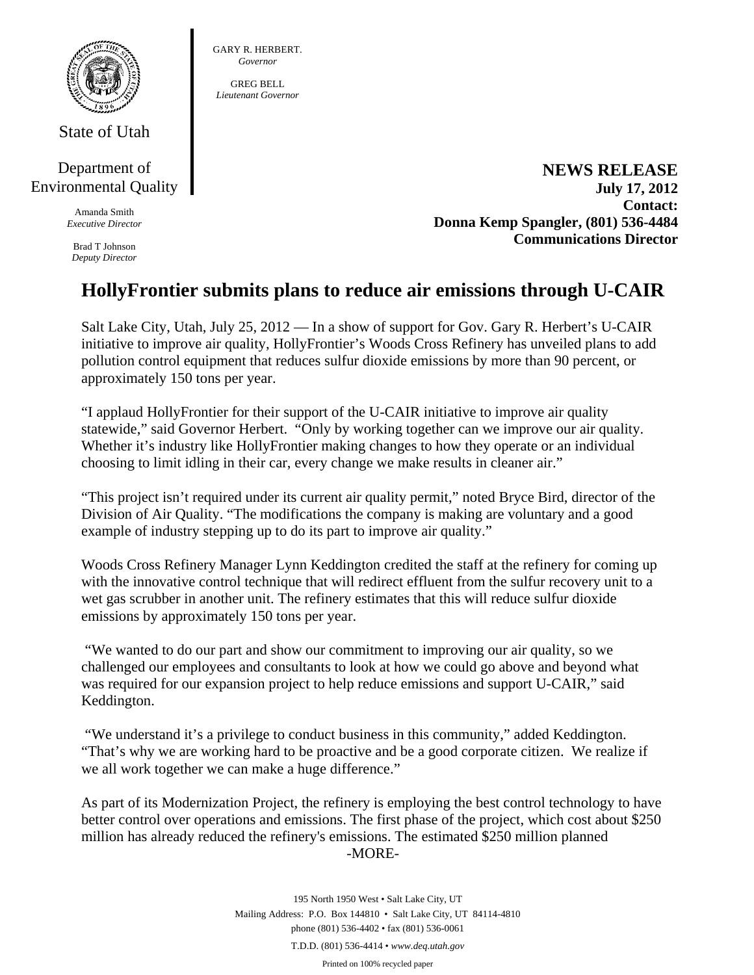

State of Utah

## Department of Environmental Quality

Amanda Smith *Executive Director* 

Brad T Johnson *Deputy Director*  GARY R. HERBERT. *Governor* 

GREG BELL *Lieutenant Governor* 

> **NEWS RELEASE July 17, 2012 Contact: Donna Kemp Spangler, (801) 536-4484 Communications Director**

## **HollyFrontier submits plans to reduce air emissions through U-CAIR**

Salt Lake City, Utah, July 25, 2012 — In a show of support for Gov. Gary R. Herbert's U-CAIR initiative to improve air quality, HollyFrontier's Woods Cross Refinery has unveiled plans to add pollution control equipment that reduces sulfur dioxide emissions by more than 90 percent, or approximately 150 tons per year.

"I applaud HollyFrontier for their support of the U-CAIR initiative to improve air quality statewide," said Governor Herbert. "Only by working together can we improve our air quality. Whether it's industry like HollyFrontier making changes to how they operate or an individual choosing to limit idling in their car, every change we make results in cleaner air."

"This project isn't required under its current air quality permit," noted Bryce Bird, director of the Division of Air Quality. "The modifications the company is making are voluntary and a good example of industry stepping up to do its part to improve air quality."

Woods Cross Refinery Manager Lynn Keddington credited the staff at the refinery for coming up with the innovative control technique that will redirect effluent from the sulfur recovery unit to a wet gas scrubber in another unit. The refinery estimates that this will reduce sulfur dioxide emissions by approximately 150 tons per year.

 "We wanted to do our part and show our commitment to improving our air quality, so we challenged our employees and consultants to look at how we could go above and beyond what was required for our expansion project to help reduce emissions and support U-CAIR," said Keddington.

 "We understand it's a privilege to conduct business in this community," added Keddington. "That's why we are working hard to be proactive and be a good corporate citizen. We realize if we all work together we can make a huge difference."

As part of its Modernization Project, the refinery is employing the best control technology to have better control over operations and emissions. The first phase of the project, which cost about \$250 million has already reduced the refinery's emissions. The estimated \$250 million planned -MORE-

> 195 North 1950 West • Salt Lake City, UT Mailing Address: P.O. Box 144810 • Salt Lake City, UT 84114-4810 phone (801) 536-4402 • fax (801) 536-0061 T.D.D. (801) 536-4414 • *www.deq.utah.gov*  Printed on 100% recycled paper